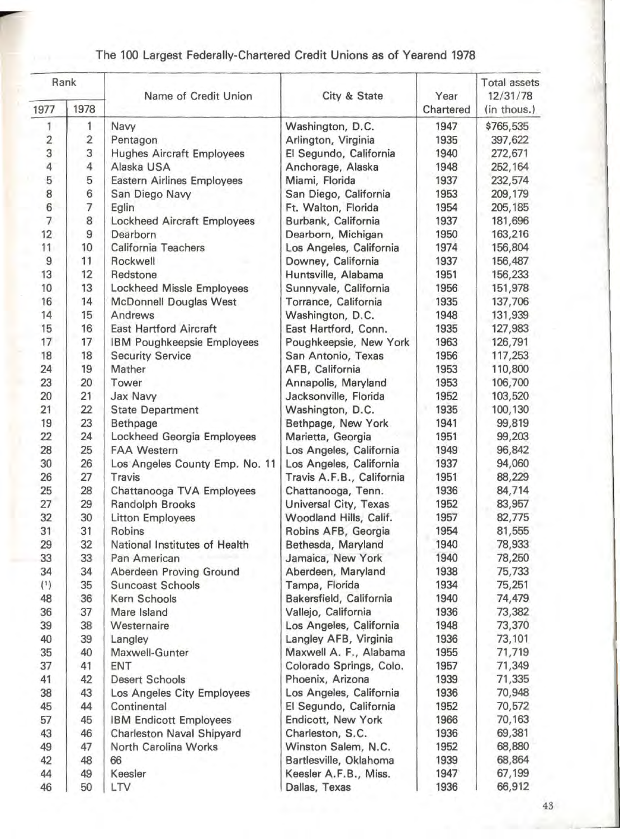| Rank                    |                          | Name of Credit Union               | City & State              | Year      | <b>Total assets</b><br>12/31/78 |
|-------------------------|--------------------------|------------------------------------|---------------------------|-----------|---------------------------------|
| 1977                    | 1978                     |                                    |                           | Chartered | (in thous.)                     |
| 1                       | 1                        | Navy                               | Washington, D.C.          | 1947      | \$765,535                       |
| $\overline{\mathbf{c}}$ | $\overline{2}$           | Pentagon                           | Arlington, Virginia       | 1935      | 397,622                         |
| 3                       | 3                        | <b>Hughes Aircraft Employees</b>   | El Segundo, California    | 1940      | 272,671                         |
| 4                       | 4                        | Alaska USA                         | Anchorage, Alaska         | 1948      | 252,164                         |
| 5                       | 5                        | <b>Eastern Airlines Employees</b>  | Miami, Florida            | 1937      | 232,574                         |
| 8                       | 6                        | San Diego Navy                     | San Diego, California     | 1953      | 209,179                         |
| 6                       | $\overline{\phantom{a}}$ | Eglin                              | Ft. Walton, Florida       | 1954      | 205,185                         |
| $\overline{7}$          | 8                        | <b>Lockheed Aircraft Employees</b> | Burbank, California       | 1937      | 181,696                         |
| 12                      | 9                        | Dearborn                           | Dearborn, Michigan        | 1950      | 163,216                         |
| 11                      | 10                       | California Teachers                | Los Angeles, California   | 1974      | 156,804                         |
| $\overline{9}$          | 11                       | Rockwell                           | Downey, California        | 1937      | 156,487                         |
| 13                      | 12                       | Redstone                           | Huntsville, Alabama       | 1951      | 156,233                         |
| 10                      | 13                       | Lockheed Missle Employees          | Sunnyvale, California     | 1956      | 151,978                         |
| 16                      | 14                       | McDonnell Douglas West             | Torrance, California      | 1935      | 137,706                         |
| 14                      | 15                       | Andrews                            | Washington, D.C.          | 1948      | 131,939                         |
| 15                      | 16                       | <b>East Hartford Aircraft</b>      | East Hartford, Conn.      | 1935      | 127,983                         |
| 17                      | 17                       | IBM Poughkeepsie Employees         | Poughkeepsie, New York    | 1963      | 126,791                         |
| 18                      | 18                       | <b>Security Service</b>            | San Antonio, Texas        | 1956      | 117,253                         |
| 24                      | 19                       | Mather                             | AFB, California           | 1953      | 110,800                         |
| 23                      | 20                       | Tower                              | Annapolis, Maryland       | 1953      | 106,700                         |
| 20                      | 21                       | Jax Navy                           | Jacksonville, Florida     | 1952      | 103,520                         |
| 21                      | 22                       | <b>State Department</b>            | Washington, D.C.          | 1935      | 100,130                         |
| 19                      | 23                       | Bethpage                           | Bethpage, New York        | 1941      | 99,819                          |
| 22                      | 24                       | Lockheed Georgia Employees         | Marietta, Georgia         | 1951      | 99,203                          |
| 28                      | 25                       | <b>FAA Western</b>                 | Los Angeles, California   | 1949      | 96,842                          |
| 30                      | 26                       | Los Angeles County Emp. No. 11     | Los Angeles, California   | 1937      | 94,060                          |
| 26                      | 27                       | Travis                             | Travis A.F.B., California | 1951      | 88,229                          |
| 25                      | 28                       | Chattanooga TVA Employees          | Chattanooga, Tenn.        | 1936      | 84,714                          |
| 27                      | 29                       | Randolph Brooks                    | Universal City, Texas     | 1952      | 83,957                          |
| 32                      | 30                       | <b>Litton Employees</b>            | Woodland Hills, Calif.    | 1957      | 82,775                          |
| 31                      | 31                       | Robins                             | Robins AFB, Georgia       | 1954      | 81,555                          |
| 29                      | 32                       | National Institutes of Health      | Bethesda, Maryland        | 1940      | 78,933                          |
| 33                      | 33                       | Pan American                       | Jamaica, New York         | 1940      | 78,250                          |
| 34                      | 34                       | Aberdeen Proving Ground            | Aberdeen, Maryland        | 1938      | 75,733                          |
| (1)                     | 35                       | <b>Suncoast Schools</b>            | Tampa, Florida            | 1934      | 75,251                          |
| 48                      | 36                       | Kern Schools                       | Bakersfield, California   | 1940      | 74,479                          |
| 36                      | 37                       | Mare Island                        | Vallejo, California       | 1936      | 73,382                          |
| 39                      | 38                       | Westernaire                        | Los Angeles, California   | 1948      | 73,370                          |
| 40                      | 39                       | Langley                            | Langley AFB, Virginia     | 1936      | 73,101                          |
| 35                      | 40                       | Maxwell-Gunter                     | Maxwell A. F., Alabama    | 1955      | 71,719                          |
| 37                      | 41                       | <b>ENT</b>                         | Colorado Springs, Colo.   | 1957      | 71,349                          |
| 41                      | 42                       | <b>Desert Schools</b>              | Phoenix, Arizona          | 1939      | 71,335                          |
| 38                      | 43                       | Los Angeles City Employees         | Los Angeles, California   | 1936      | 70,948                          |
| 45                      | 44                       | Continental                        | El Segundo, California    | 1952      | 70,572                          |
| 57                      | 45                       | <b>IBM Endicott Employees</b>      | Endicott, New York        | 1966      | 70,163                          |
| 43                      | 46                       | <b>Charleston Naval Shipyard</b>   | Charleston, S.C.          | 1936      | 69,381                          |
| 49                      | 47                       | North Carolina Works               | Winston Salem, N.C.       | 1952      | 68,880                          |
| 42                      | 48                       | 66                                 | Bartlesville, Oklahoma    | 1939      | 68,864                          |
| 44                      | 49                       | Keesler                            | Keesler A.F.B., Miss.     | 1947      | 67,199                          |
| 46                      | 50                       | LTV                                | Dallas, Texas             | 1936      | 66,912                          |

## The 100 Largest Federally-Chartered Credit Unions as of Yearend 1978